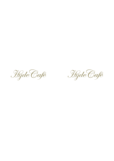Hyde Café

Hyde Café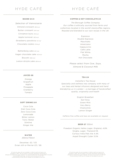### HYDE CAFÉ

# HYDE CAFÉ

#### **BAKED £4.5**

*Selection of Viennoiserie* Almond croissant *385 kcal* Butter croissant *334 kcal* Cinnamon buns *316 kcal* Apple turnover *363 kcal* Strawberry pavolova *112 kcal* Chocolate cookie *379 kcal*

Battenberg cake *321 kcal* Vegan chocolate cake *412 kcal* Biscotti *388 kcal* Lemon drizzle cake *566 kcal*

#### **COFFEE & HOT CHOCOLATE £4**

*The Borough Coffee Company Our coffee is ethically sourced from farms and collectives located in the world's bestcoffee regions. Roasted and blended to our own recipe in the UK.*

> Espresso Double Espresso Macchiato Americano Cappuccino Café Latte Flat White Mocha Hot Chocolate

*Please select from Cow, Soya, Almond & Coconut Milk*

#### **JUICES £6**

Orange Grapefruit Apple Pineapple Cranberry Tomato

#### **SOFT DRINKS £4**

Coca Cola Diet Coca Cola Zero Coca Cola Lemonade Bitter Lemon Tonic Water Slimline Ginger Ale

#### **TEA £4**

*Camellia's Tea House Speciality and wellness tea company with many of our teas and herbal infusions designed and hand blended by us in London – a marriage of handcrafted quality, originality and health*

> English Breakfast Earl Grey Green Mint Very Berry Chamomile Lemon Ginger

*Caffeine free coffee and teas are available on request*

#### **BEER £7** *330ml*

Freedom Organic Helles Lager, England, 4.8% Singha, Lager, Thailand 5% Curious India Pale Ale 4.4% Aspall Draught Cyder 5.5%

### **WATER**

*330ml/750ml*

Decantae £2 / £5 Evian still or Perrier £3 / £6

*All wines by glass the are available in 125ml & spirits & liquors are available in 25ml. We are happy to provide information pertaining to allergies & intolerances upon request. It is recommended that the average adult consumes around 2000 kcal a day. All prices are inclusive of 5% VAT. A discretionary 12.5% service charge will be added to your bill.*

*All wines by glass the are available in 125ml & spirits & liquors are available in 25ml. We are happy to provide information pertaining to allergies & intolerances upon request. All prices are inclusive of 5% VAT. A discretionary 12.5% service charge will be added to your bill.*